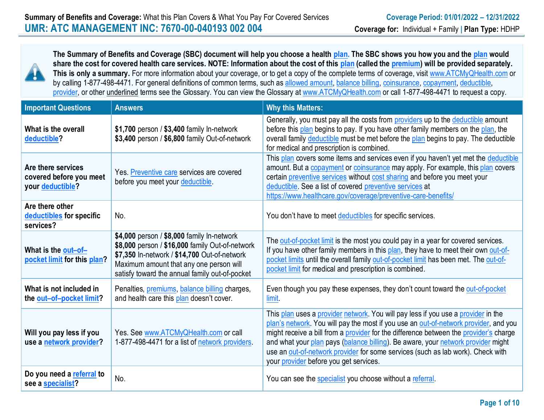

**The Summary of Benefits and Coverage (SBC) document will help you choose a health plan. The SBC shows you how you and the plan would share the cost for covered health care services. NOTE: Information about the cost of this plan (called the premium) will be provided separately.**  This is only a summary. For more information about your coverage, or to get a copy of the complete terms of coverage, visi[t www.ATCMyQHealth.com](http://www.umr.com/) or by calling 1-877-498-4471. For general definitions of common terms, such as allowed amount, balance billing, coinsurance, copayment, deductible, provider, or other underlined terms see the Glossary. You can view the Glossary a[t www.ATCMyQHealth.com](http://www.umr.com/) or call 1-877-498-4471 to request a copy.

| <b>Important Questions</b>                                        | <b>Answers</b>                                                                                                                                                                                                                             | <b>Why this Matters:</b>                                                                                                                                                                                                                                                                                                                                                                                                                                                            |
|-------------------------------------------------------------------|--------------------------------------------------------------------------------------------------------------------------------------------------------------------------------------------------------------------------------------------|-------------------------------------------------------------------------------------------------------------------------------------------------------------------------------------------------------------------------------------------------------------------------------------------------------------------------------------------------------------------------------------------------------------------------------------------------------------------------------------|
| What is the overall<br>deductible?                                | \$1,700 person / \$3,400 family In-network<br>\$3,400 person / \$6,800 family Out-of-network                                                                                                                                               | Generally, you must pay all the costs from providers up to the deductible amount<br>before this plan begins to pay. If you have other family members on the plan, the<br>overall family deductible must be met before the plan begins to pay. The deductible<br>for medical and prescription is combined.                                                                                                                                                                           |
| Are there services<br>covered before you meet<br>your deductible? | Yes. Preventive care services are covered<br>before you meet your deductible.                                                                                                                                                              | This plan covers some items and services even if you haven't yet met the deductible<br>amount. But a copayment or coinsurance may apply. For example, this plan covers<br>certain preventive services without cost sharing and before you meet your<br>deductible. See a list of covered preventive services at<br>https://www.healthcare.gov/coverage/preventive-care-benefits/                                                                                                    |
| Are there other<br>deductibles for specific<br>services?          | No.                                                                                                                                                                                                                                        | You don't have to meet deductibles for specific services.                                                                                                                                                                                                                                                                                                                                                                                                                           |
| What is the out-of-<br>pocket limit for this plan?                | \$4,000 person / \$8,000 family In-network<br>\$8,000 person / \$16,000 family Out-of-network<br>\$7,350 In-network / \$14,700 Out-of-network<br>Maximum amount that any one person will<br>satisfy toward the annual family out-of-pocket | The out-of-pocket limit is the most you could pay in a year for covered services.<br>If you have other family members in this plan, they have to meet their own out-of-<br>pocket limits until the overall family out-of-pocket limit has been met. The out-of-<br>pocket limit for medical and prescription is combined.                                                                                                                                                           |
| What is not included in<br>the out-of-pocket limit?               | Penalties, <i>premiums</i> , <i>balance billing</i> charges,<br>and health care this plan doesn't cover.                                                                                                                                   | Even though you pay these expenses, they don't count toward the out-of-pocket<br>limit.                                                                                                                                                                                                                                                                                                                                                                                             |
| Will you pay less if you<br>use a network provider?               | Yes. See www.ATCMyQHealth.com or call<br>1-877-498-4471 for a list of network providers.                                                                                                                                                   | This plan uses a provider network. You will pay less if you use a provider in the<br>plan's network. You will pay the most if you use an out-of-network provider, and you<br>might receive a bill from a provider for the difference between the provider's charge<br>and what your plan pays (balance billing). Be aware, your network provider might<br>use an out-of-network provider for some services (such as lab work). Check with<br>your provider before you get services. |
| Do you need a referral to<br>see a specialist?                    | No.                                                                                                                                                                                                                                        | You can see the specialist you choose without a referral.                                                                                                                                                                                                                                                                                                                                                                                                                           |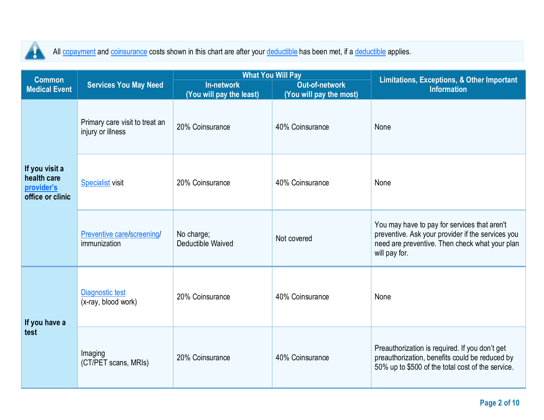

All copayment and coinsurance costs shown in this chart are after your deductible has been met, if a deductible applies.

| <b>Common</b>                                                   |                                                     |                                               | <b>What You Will Pay</b>                         | <b>Limitations, Exceptions, &amp; Other Important</b>                                                                                                                |
|-----------------------------------------------------------------|-----------------------------------------------------|-----------------------------------------------|--------------------------------------------------|----------------------------------------------------------------------------------------------------------------------------------------------------------------------|
| <b>Medical Event</b>                                            | <b>Services You May Need</b>                        | <b>In-network</b><br>(You will pay the least) | <b>Out-of-network</b><br>(You will pay the most) | <b>Information</b>                                                                                                                                                   |
| If you visit a<br>health care<br>provider's<br>office or clinic | Primary care visit to treat an<br>injury or illness | 20% Coinsurance                               | 40% Coinsurance                                  | None                                                                                                                                                                 |
|                                                                 | <b>Specialist visit</b>                             | 20% Coinsurance                               | 40% Coinsurance                                  | None                                                                                                                                                                 |
|                                                                 | Preventive care/screening/<br>immunization          | No charge;<br>Deductible Waived               | Not covered                                      | You may have to pay for services that aren't<br>preventive. Ask your provider if the services you<br>need are preventive. Then check what your plan<br>will pay for. |
| If you have a<br>test                                           | <b>Diagnostic test</b><br>(x-ray, blood work)       | 20% Coinsurance                               | 40% Coinsurance                                  | None                                                                                                                                                                 |
|                                                                 | Imaging<br>(CT/PET scans, MRIs)                     | 20% Coinsurance                               | 40% Coinsurance                                  | Preauthorization is required. If you don't get<br>preauthorization, benefits could be reduced by<br>50% up to \$500 of the total cost of the service.                |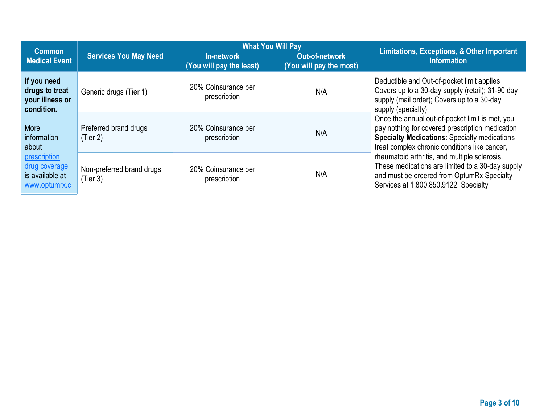| <b>Common</b>                                                                                     |                                       | <b>What You Will Pay</b>               |                                           | Limitations, Exceptions, & Other Important                                                                                                                                                                 |  |
|---------------------------------------------------------------------------------------------------|---------------------------------------|----------------------------------------|-------------------------------------------|------------------------------------------------------------------------------------------------------------------------------------------------------------------------------------------------------------|--|
| <b>Medical Event</b>                                                                              | <b>Services You May Need</b>          | In-network<br>(You will pay the least) | Out-of-network<br>(You will pay the most) | <b>Information</b>                                                                                                                                                                                         |  |
| If you need<br>drugs to treat<br>your illness or<br>condition.                                    | Generic drugs (Tier 1)                | 20% Coinsurance per<br>prescription    | N/A                                       | Deductible and Out-of-pocket limit applies<br>Covers up to a 30-day supply (retail); 31-90 day<br>supply (mail order); Covers up to a 30-day<br>supply (specialty)                                         |  |
| More<br>information<br>about<br>prescription<br>drug coverage<br>is available at<br>www.optumrx.c | Preferred brand drugs<br>(Tier 2)     | 20% Coinsurance per<br>prescription    | N/A                                       | Once the annual out-of-pocket limit is met, you<br>pay nothing for covered prescription medication<br><b>Specialty Medications: Specialty medications</b><br>treat complex chronic conditions like cancer, |  |
|                                                                                                   | Non-preferred brand drugs<br>(Tier 3) | 20% Coinsurance per<br>prescription    | N/A                                       | rheumatoid arthritis, and multiple sclerosis.<br>These medications are limited to a 30-day supply<br>and must be ordered from OptumRx Specialty<br>Services at 1.800.850.9122. Specialty                   |  |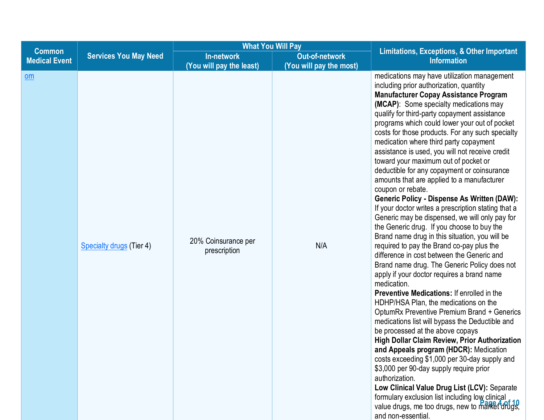|                                       |                              |                                               | <b>What You Will Pay</b>                         |                                                                                                                                                                                                                                                                                                                                                                                                                                                                                                                                                                                                                                                                                                                                                                                                                                                                                                                                                                                                                                                                                                                                                                                                                                                                                                                                                                                                                                                                                                                                                                                                                                                                                                     |
|---------------------------------------|------------------------------|-----------------------------------------------|--------------------------------------------------|-----------------------------------------------------------------------------------------------------------------------------------------------------------------------------------------------------------------------------------------------------------------------------------------------------------------------------------------------------------------------------------------------------------------------------------------------------------------------------------------------------------------------------------------------------------------------------------------------------------------------------------------------------------------------------------------------------------------------------------------------------------------------------------------------------------------------------------------------------------------------------------------------------------------------------------------------------------------------------------------------------------------------------------------------------------------------------------------------------------------------------------------------------------------------------------------------------------------------------------------------------------------------------------------------------------------------------------------------------------------------------------------------------------------------------------------------------------------------------------------------------------------------------------------------------------------------------------------------------------------------------------------------------------------------------------------------------|
| <b>Common</b><br><b>Medical Event</b> | <b>Services You May Need</b> | <b>In-network</b><br>(You will pay the least) | <b>Out-of-network</b><br>(You will pay the most) | <b>Limitations, Exceptions, &amp; Other Important</b><br><b>Information</b>                                                                                                                                                                                                                                                                                                                                                                                                                                                                                                                                                                                                                                                                                                                                                                                                                                                                                                                                                                                                                                                                                                                                                                                                                                                                                                                                                                                                                                                                                                                                                                                                                         |
| om                                    | Specialty drugs (Tier 4)     | 20% Coinsurance per<br>prescription           | N/A                                              | medications may have utilization management<br>including prior authorization, quantity<br><b>Manufacturer Copay Assistance Program</b><br>(MCAP): Some specialty medications may<br>qualify for third-party copayment assistance<br>programs which could lower your out of pocket<br>costs for those products. For any such specialty<br>medication where third party copayment<br>assistance is used, you will not receive credit<br>toward your maximum out of pocket or<br>deductible for any copayment or coinsurance<br>amounts that are applied to a manufacturer<br>coupon or rebate.<br><b>Generic Policy - Dispense As Written (DAW):</b><br>If your doctor writes a prescription stating that a<br>Generic may be dispensed, we will only pay for<br>the Generic drug. If you choose to buy the<br>Brand name drug in this situation, you will be<br>required to pay the Brand co-pay plus the<br>difference in cost between the Generic and<br>Brand name drug. The Generic Policy does not<br>apply if your doctor requires a brand name<br>medication.<br><b>Preventive Medications:</b> If enrolled in the<br>HDHP/HSA Plan, the medications on the<br>OptumRx Preventive Premium Brand + Generics<br>medications list will bypass the Deductible and<br>be processed at the above copays<br><b>High Dollar Claim Review, Prior Authorization</b><br>and Appeals program (HDCR): Medication<br>costs exceeding \$1,000 per 30-day supply and<br>\$3,000 per 90-day supply require prior<br>authorization.<br>Low Clinical Value Drug List (LCV): Separate<br>formulary exclusion list including low clinical<br>value drugs, me too drugs, new to market drugs,<br>and non-essential. |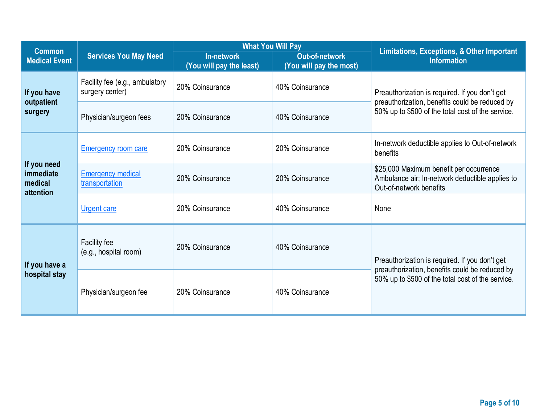|                                                         |                                                   | <b>What You Will Pay</b>               |                                           |                                                                                                                       |  |
|---------------------------------------------------------|---------------------------------------------------|----------------------------------------|-------------------------------------------|-----------------------------------------------------------------------------------------------------------------------|--|
| <b>Common</b><br><b>Medical Event</b>                   | <b>Services You May Need</b>                      | In-network<br>(You will pay the least) | Out-of-network<br>(You will pay the most) | Limitations, Exceptions, & Other Important<br><b>Information</b>                                                      |  |
| If you have                                             | Facility fee (e.g., ambulatory<br>surgery center) | 20% Coinsurance                        | 40% Coinsurance                           | Preauthorization is required. If you don't get                                                                        |  |
| outpatient<br>surgery                                   | Physician/surgeon fees                            | 20% Coinsurance                        | 40% Coinsurance                           | preauthorization, benefits could be reduced by<br>50% up to \$500 of the total cost of the service.                   |  |
|                                                         | <b>Emergency room care</b>                        | 20% Coinsurance                        | 20% Coinsurance                           | In-network deductible applies to Out-of-network<br>benefits                                                           |  |
| If you need<br><i>immediate</i><br>medical<br>attention | <b>Emergency medical</b><br>transportation        | 20% Coinsurance                        | 20% Coinsurance                           | \$25,000 Maximum benefit per occurrence<br>Ambulance air; In-network deductible applies to<br>Out-of-network benefits |  |
|                                                         | <b>Urgent care</b>                                | 20% Coinsurance                        | 40% Coinsurance                           | None                                                                                                                  |  |
| If you have a<br>hospital stay                          | Facility fee<br>(e.g., hospital room)             | 20% Coinsurance                        | 40% Coinsurance                           | Preauthorization is required. If you don't get<br>preauthorization, benefits could be reduced by                      |  |
|                                                         | Physician/surgeon fee                             | 20% Coinsurance                        | 40% Coinsurance                           | 50% up to \$500 of the total cost of the service.                                                                     |  |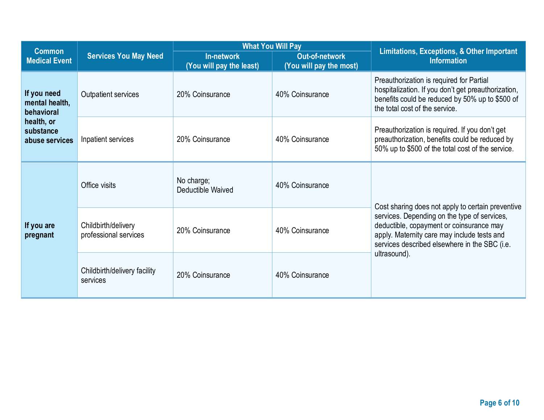| <b>Common</b>                                                                            |                                              | <b>What You Will Pay</b>                      |                                                  | <b>Limitations, Exceptions, &amp; Other Important</b>                                                                                                                                    |  |
|------------------------------------------------------------------------------------------|----------------------------------------------|-----------------------------------------------|--------------------------------------------------|------------------------------------------------------------------------------------------------------------------------------------------------------------------------------------------|--|
| <b>Medical Event</b>                                                                     | <b>Services You May Need</b>                 | <b>In-network</b><br>(You will pay the least) | <b>Out-of-network</b><br>(You will pay the most) | <b>Information</b>                                                                                                                                                                       |  |
| If you need<br>mental health,<br>behavioral<br>health, or<br>substance<br>abuse services | Outpatient services                          | 20% Coinsurance                               | 40% Coinsurance                                  | Preauthorization is required for Partial<br>hospitalization. If you don't get preauthorization,<br>benefits could be reduced by 50% up to \$500 of<br>the total cost of the service.     |  |
|                                                                                          | Inpatient services                           | 20% Coinsurance                               | 40% Coinsurance                                  | Preauthorization is required. If you don't get<br>preauthorization, benefits could be reduced by<br>50% up to \$500 of the total cost of the service.                                    |  |
| If you are<br>pregnant                                                                   | Office visits                                | No charge;<br>Deductible Waived               | 40% Coinsurance                                  | Cost sharing does not apply to certain preventive                                                                                                                                        |  |
|                                                                                          | Childbirth/delivery<br>professional services | 20% Coinsurance                               | 40% Coinsurance                                  | services. Depending on the type of services,<br>deductible, copayment or coinsurance may<br>apply. Maternity care may include tests and<br>services described elsewhere in the SBC (i.e. |  |
|                                                                                          | Childbirth/delivery facility<br>services     | 20% Coinsurance                               | 40% Coinsurance                                  | ultrasound).                                                                                                                                                                             |  |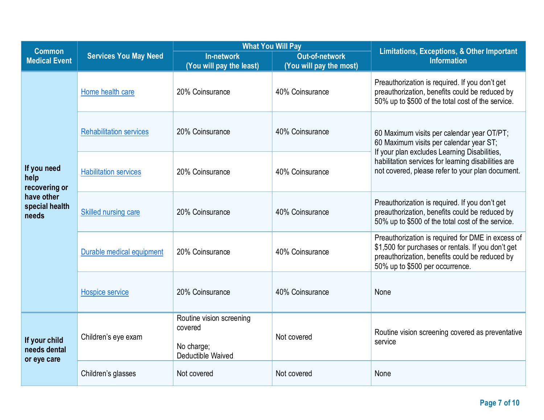| <b>Common</b>                                |                                | <b>What You Will Pay</b>                                               |                                                  | <b>Limitations, Exceptions, &amp; Other Important</b>                                                                                                                                        |  |
|----------------------------------------------|--------------------------------|------------------------------------------------------------------------|--------------------------------------------------|----------------------------------------------------------------------------------------------------------------------------------------------------------------------------------------------|--|
| <b>Medical Event</b>                         | <b>Services You May Need</b>   | <b>In-network</b><br>(You will pay the least)                          | <b>Out-of-network</b><br>(You will pay the most) | <b>Information</b>                                                                                                                                                                           |  |
|                                              | Home health care               | 20% Coinsurance                                                        | 40% Coinsurance                                  | Preauthorization is required. If you don't get<br>preauthorization, benefits could be reduced by<br>50% up to \$500 of the total cost of the service.                                        |  |
|                                              | <b>Rehabilitation services</b> | 20% Coinsurance                                                        | 40% Coinsurance                                  | 60 Maximum visits per calendar year OT/PT;<br>60 Maximum visits per calendar year ST;                                                                                                        |  |
| If you need<br>help<br>recovering or         | <b>Habilitation services</b>   | 20% Coinsurance                                                        | 40% Coinsurance                                  | If your plan excludes Learning Disabilities,<br>habilitation services for learning disabilities are<br>not covered, please refer to your plan document.                                      |  |
| have other<br>special health<br>needs        | <b>Skilled nursing care</b>    | 20% Coinsurance                                                        | 40% Coinsurance                                  | Preauthorization is required. If you don't get<br>preauthorization, benefits could be reduced by<br>50% up to \$500 of the total cost of the service.                                        |  |
|                                              | Durable medical equipment      | 20% Coinsurance                                                        | 40% Coinsurance                                  | Preauthorization is required for DME in excess of<br>\$1,500 for purchases or rentals. If you don't get<br>preauthorization, benefits could be reduced by<br>50% up to \$500 per occurrence. |  |
|                                              | <b>Hospice service</b>         | 20% Coinsurance                                                        | 40% Coinsurance                                  | None                                                                                                                                                                                         |  |
| If your child<br>needs dental<br>or eye care | Children's eye exam            | Routine vision screening<br>covered<br>No charge;<br>Deductible Waived | Not covered                                      | Routine vision screening covered as preventative<br>service                                                                                                                                  |  |
|                                              | Children's glasses             | Not covered                                                            | Not covered                                      | None                                                                                                                                                                                         |  |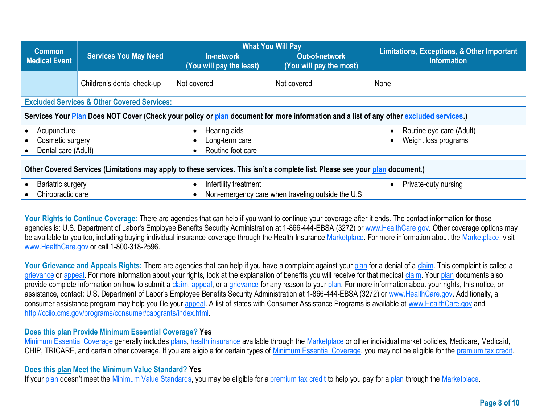|                                                                                                                              |                                                        | <b>What You Will Pay</b>                            |                                                    |                                                                                                                                        |  |
|------------------------------------------------------------------------------------------------------------------------------|--------------------------------------------------------|-----------------------------------------------------|----------------------------------------------------|----------------------------------------------------------------------------------------------------------------------------------------|--|
| <b>Common</b><br><b>Medical Event</b>                                                                                        | <b>Services You May Need</b>                           | <b>In-network</b><br>(You will pay the least)       | Out-of-network<br>(You will pay the most)          | Limitations, Exceptions, & Other Important<br><b>Information</b>                                                                       |  |
|                                                                                                                              | Children's dental check-up                             | Not covered                                         | Not covered                                        | None                                                                                                                                   |  |
|                                                                                                                              | <b>Excluded Services &amp; Other Covered Services:</b> |                                                     |                                                    |                                                                                                                                        |  |
|                                                                                                                              |                                                        |                                                     |                                                    | Services Your Plan Does NOT Cover (Check your policy or plan document for more information and a list of any other excluded services.) |  |
| Acupuncture<br>Cosmetic surgery<br>Dental care (Adult)                                                                       |                                                        | Hearing aids<br>Long-term care<br>Routine foot care |                                                    | Routine eye care (Adult)<br>Weight loss programs                                                                                       |  |
| Other Covered Services (Limitations may apply to these services. This isn't a complete list. Please see your plan document.) |                                                        |                                                     |                                                    |                                                                                                                                        |  |
| Bariatric surgery<br>Chiropractic care                                                                                       |                                                        | Infertility treatment                               | Non-emergency care when traveling outside the U.S. | Private-duty nursing                                                                                                                   |  |

Your Rights to Continue Coverage: There are agencies that can help if you want to continue your coverage after it ends. The contact information for those agencies is: U.S. Department of Labor's Employee Benefits Security Administration at 1-866-444-EBSA (3272) or [www.HealthCare.gov.](http://www.healthcare.gov/) Other coverage options may be available to you too, including buying individual insurance coverage through the Health Insurance Marketplace. For more information about the Marketplace, visit [www.HealthCare.gov](http://www.healthcare.gov/) or call 1-800-318-2596.

Your Grievance and Appeals Rights: There are agencies that can help if you have a complaint against your plan for a denial of a claim. This complaint is called a grievance or appeal. For more information about your rights, look at the explanation of benefits you will receive for that medical claim. Your plan documents also provide complete information on how to submit a claim, appeal, or a grievance for any reason to your plan. For more information about your rights, this notice, or assistance, contact: U.S. Department of Labor's Employee Benefits Security Administration at 1-866-444-EBSA (3272) o[r www.HealthCare.gov.](http://www.healthcare.gov/) Additionally, a consumer assistance program may help you file your appeal. A list of states with Consumer Assistance Programs is available at [www.HealthCare.gov](http://www.healthcare.gov/) and [http://cciio.cms.gov/programs/consumer/capgrants/index.html.](http://cciio.cms.gov/programs/consumer/capgrants/index.html)

## **Does this plan Provide Minimum Essential Coverage? Yes**

Minimum Essential Coverage generally includes plans, health insurance available through the Marketplace or other individual market policies, Medicare, Medicaid, CHIP, TRICARE, and certain other coverage. If you are eligible for certain types of Minimum Essential Coverage, you may not be eligible for the premium tax credit.

## **Does this plan Meet the Minimum Value Standard? Yes**

If your plan doesn't meet the Minimum Value Standards, you may be eligible for a premium tax credit to help you pay for a plan through the Marketplace.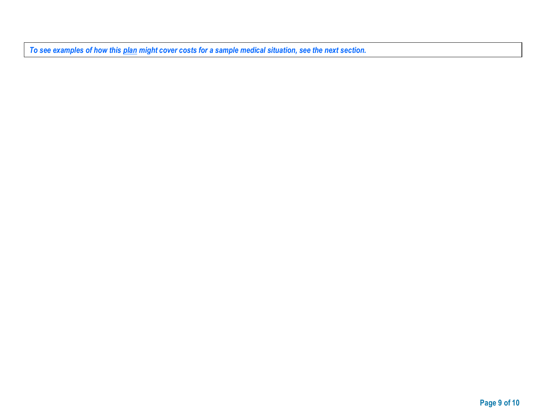*To see examples of how this plan might cover costs for a sample medical situation, see the next section.*